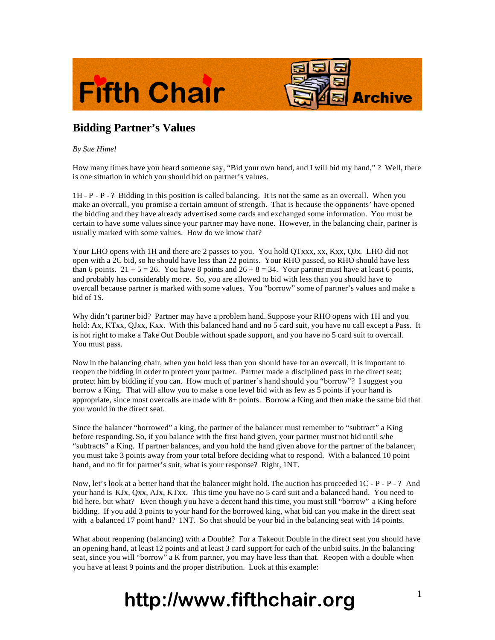



## **Bidding Partner's Values**

## *By Sue Himel*

How many times have you heard someone say, "Bid your own hand, and I will bid my hand," ? Well, there is one situation in which you should bid on partner's values.

1H - P - P - ? Bidding in this position is called balancing. It is not the same as an overcall. When you make an overcall, you promise a certain amount of strength. That is because the opponents' have opened the bidding and they have already advertised some cards and exchanged some information. You must be certain to have some values since your partner may have none. However, in the balancing chair, partner is usually marked with some values. How do we know that?

Your LHO opens with 1H and there are 2 passes to you. You hold QTxxx, xx, Kxx, QJx. LHO did not open with a 2C bid, so he should have less than 22 points. Your RHO passed, so RHO should have less than 6 points.  $21 + 5 = 26$ . You have 8 points and  $26 + 8 = 34$ . Your partner must have at least 6 points, and probably has considerably mo re. So, you are allowed to bid with less than you should have to overcall because partner is marked with some values. You "borrow" some of partner's values and make a bid of 1S.

Why didn't partner bid? Partner may have a problem hand. Suppose your RHO opens with 1H and you hold: Ax, KTxx, QJxx, Kxx. With this balanced hand and no 5 card suit, you have no call except a Pass. It is not right to make a Take Out Double without spade support, and you have no 5 card suit to overcall. You must pass.

Now in the balancing chair, when you hold less than you should have for an overcall, it is important to reopen the bidding in order to protect your partner. Partner made a disciplined pass in the direct seat; protect him by bidding if you can. How much of partner's hand should you "borrow"? I suggest you borrow a King. That will allow you to make a one level bid with as few as 5 points if your hand is appropriate, since most overcalls are made with 8+ points. Borrow a King and then make the same bid that you would in the direct seat.

Since the balancer "borrowed" a king, the partner of the balancer must remember to "subtract" a King before responding. So, if you balance with the first hand given, your partner must not bid until s/he "subtracts" a King. If partner balances, and you hold the hand given above for the partner of the balancer, you must take 3 points away from your total before deciding what to respond. With a balanced 10 point hand, and no fit for partner's suit, what is your response? Right, 1NT.

Now, let's look at a better hand that the balancer might hold. The auction has proceeded  $1C - P - P - ?$  And your hand is KJx, Qxx, AJx, KTxx. This time you have no 5 card suit and a balanced hand. You need to bid here, but what? Even though you have a decent hand this time, you must still "borrow" a King before bidding. If you add 3 points to your hand for the borrowed king, what bid can you make in the direct seat with a balanced 17 point hand? 1NT. So that should be your bid in the balancing seat with 14 points.

What about reopening (balancing) with a Double? For a Takeout Double in the direct seat you should have an opening hand, at least 12 points and at least 3 card support for each of the unbid suits. In the balancing seat, since you will "borrow" a K from partner, you may have less than that. Reopen with a double when you have at least 9 points and the proper distribution. Look at this example:

## **http://www.fifthchair.org** <sup>1</sup>